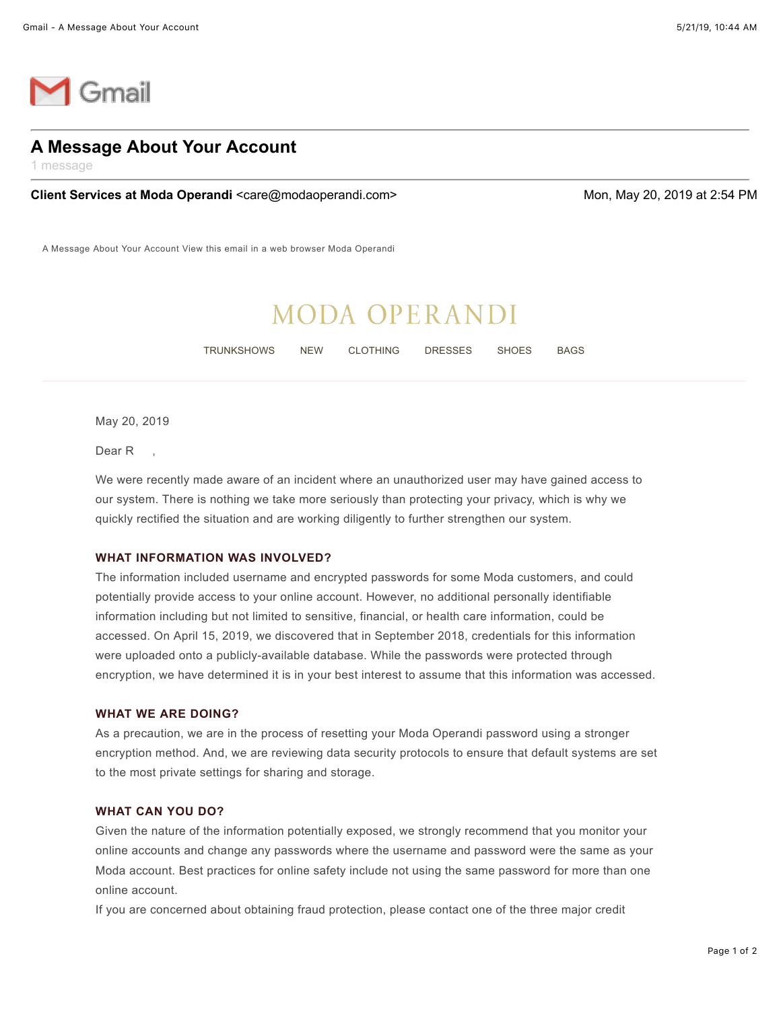

## **A Message About Your Account**

1 message

**Client Services at Moda Operandi <care@modaoperandi.com> Mon, May 20, 2019 at 2:54 PM** 

A Message About Your Account View this email in a web browser Moda Operandi

# **MODA OPERANDI**

TRUNKSHOWS NEW CLOTHING DRESSES SHOES BAGS

May 20, 2019

Dear R

We were recently made aware of an incident where an unauthorized user may have gained access to our system. There is nothing we take more seriously than protecting your privacy, which is why we quickly rectified the situation and are working diligently to further strengthen our system.

#### **WHAT INFORMATION WAS INVOLVED?**

The information included username and encrypted passwords for some Moda customers, and could potentially provide access to your online account. However, no additional personally identifiable information including but not limited to sensitive, financial, or health care information, could be accessed. On April 15, 2019, we discovered that in September 2018, credentials for this information were uploaded onto a publicly-available database. While the passwords were protected through encryption, we have determined it is in your best interest to assume that this information was accessed.

### **WHAT WE ARE DOING?**

As a precaution, we are in the process of resetting your Moda Operandi password using a stronger encryption method. And, we are reviewing data security protocols to ensure that default systems are set to the most private settings for sharing and storage.

#### **WHAT CAN YOU DO?**

Given the nature of the information potentially exposed, we strongly recommend that you monitor your online accounts and change any passwords where the username and password were the same as your Moda account. Best practices for online safety include not using the same password for more than one online account.

If you are concerned about obtaining fraud protection, please contact one of the three major credit